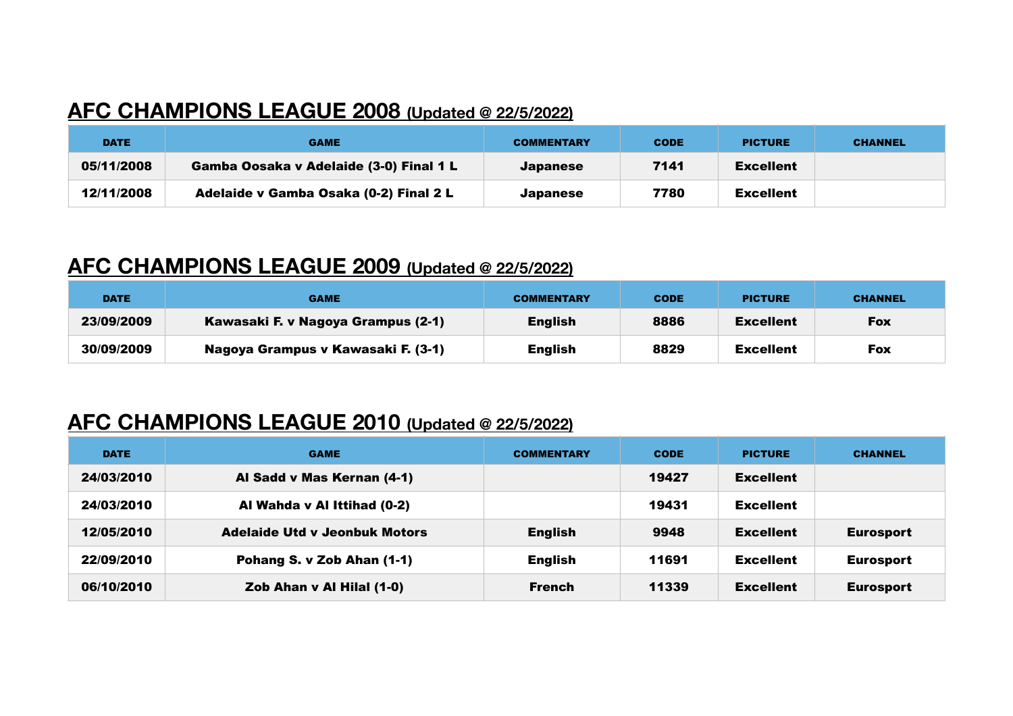## **AFC CHAMPIONS LEAGUE 2008 (Updated @ 22/5/2022)**

| <b>DATE</b> | <b>GAME</b>                             | <b>COMMENTARY</b> | <b>CODE</b> | <b>PICTURE</b>   | <b>CHANNEL</b> |
|-------------|-----------------------------------------|-------------------|-------------|------------------|----------------|
| 05/11/2008  | Gamba Oosaka v Adelaide (3-0) Final 1 L | <b>Japanese</b>   | 7141        | <b>Excellent</b> |                |
| 12/11/2008  | Adelaide v Gamba Osaka (0-2) Final 2 L  | <b>Japanese</b>   | 7780        | <b>Excellent</b> |                |

### **AFC CHAMPIONS LEAGUE 2009 (Updated @ 22/5/2022)**

| <b>DATE</b> | <b>GAME</b>                        | <b>COMMENTARY</b> | <b>CODE</b> | <b>PICTURE</b>   | <b>CHANNEL</b> |
|-------------|------------------------------------|-------------------|-------------|------------------|----------------|
| 23/09/2009  | Kawasaki F. v Nagoya Grampus (2-1) | English           | 8886        | <b>Excellent</b> | <b>Fox</b>     |
| 30/09/2009  | Nagoya Grampus v Kawasaki F. (3-1) | English           | 8829        | Excellent        | <b>Fox</b>     |

### **AFC CHAMPIONS LEAGUE 2010 (Updated @ 22/5/2022)**

| <b>DATE</b> | <b>GAME</b>                          | <b>COMMENTARY</b> | <b>CODE</b> | <b>PICTURE</b>   | <b>CHANNEL</b>   |
|-------------|--------------------------------------|-------------------|-------------|------------------|------------------|
| 24/03/2010  | Al Sadd v Mas Kernan (4-1)           |                   | 19427       | <b>Excellent</b> |                  |
| 24/03/2010  | Al Wahda v Al Ittihad (0-2)          |                   | 19431       | <b>Excellent</b> |                  |
| 12/05/2010  | <b>Adelaide Utd v Jeonbuk Motors</b> | <b>English</b>    | 9948        | <b>Excellent</b> | <b>Eurosport</b> |
| 22/09/2010  | Pohang S. v Zob Ahan (1-1)           | <b>English</b>    | 11691       | <b>Excellent</b> | <b>Eurosport</b> |
| 06/10/2010  | Zob Ahan v Al Hilal (1-0)            | <b>French</b>     | 11339       | <b>Excellent</b> | <b>Eurosport</b> |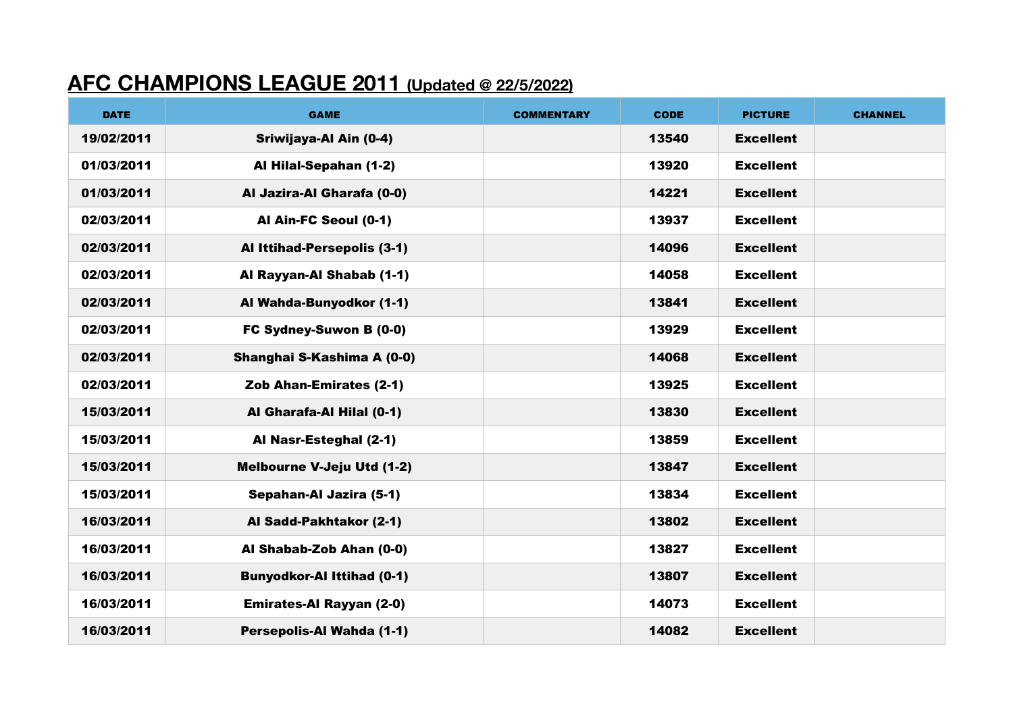## **AFC CHAMPIONS LEAGUE 2011 (Updated @ 22/5/2022)**

| <b>DATE</b> | <b>GAME</b>                       | <b>COMMENTARY</b> | <b>CODE</b> | <b>PICTURE</b>   | <b>CHANNEL</b> |
|-------------|-----------------------------------|-------------------|-------------|------------------|----------------|
| 19/02/2011  | Sriwijaya-Al Ain (0-4)            |                   | 13540       | <b>Excellent</b> |                |
| 01/03/2011  | Al Hilal-Sepahan (1-2)            |                   | 13920       | <b>Excellent</b> |                |
| 01/03/2011  | Al Jazira-Al Gharafa (0-0)        |                   | 14221       | <b>Excellent</b> |                |
| 02/03/2011  | Al Ain-FC Seoul (0-1)             |                   | 13937       | <b>Excellent</b> |                |
| 02/03/2011  | Al Ittihad-Persepolis (3-1)       |                   | 14096       | <b>Excellent</b> |                |
| 02/03/2011  | Al Rayyan-Al Shabab (1-1)         |                   | 14058       | <b>Excellent</b> |                |
| 02/03/2011  | Al Wahda-Bunyodkor (1-1)          |                   | 13841       | <b>Excellent</b> |                |
| 02/03/2011  | FC Sydney-Suwon B (0-0)           |                   | 13929       | <b>Excellent</b> |                |
| 02/03/2011  | Shanghai S-Kashima A (0-0)        |                   | 14068       | <b>Excellent</b> |                |
| 02/03/2011  | Zob Ahan-Emirates (2-1)           |                   | 13925       | <b>Excellent</b> |                |
| 15/03/2011  | Al Gharafa-Al Hilal (0-1)         |                   | 13830       | <b>Excellent</b> |                |
| 15/03/2011  | Al Nasr-Esteghal (2-1)            |                   | 13859       | <b>Excellent</b> |                |
| 15/03/2011  | <b>Melbourne V-Jeju Utd (1-2)</b> |                   | 13847       | <b>Excellent</b> |                |
| 15/03/2011  | Sepahan-Al Jazira (5-1)           |                   | 13834       | <b>Excellent</b> |                |
| 16/03/2011  | Al Sadd-Pakhtakor (2-1)           |                   | 13802       | <b>Excellent</b> |                |
| 16/03/2011  | Al Shabab-Zob Ahan (0-0)          |                   | 13827       | <b>Excellent</b> |                |
| 16/03/2011  | <b>Bunyodkor-Al Ittihad (0-1)</b> |                   | 13807       | <b>Excellent</b> |                |
| 16/03/2011  | <b>Emirates-Al Rayyan (2-0)</b>   |                   | 14073       | <b>Excellent</b> |                |
| 16/03/2011  | Persepolis-Al Wahda (1-1)         |                   | 14082       | <b>Excellent</b> |                |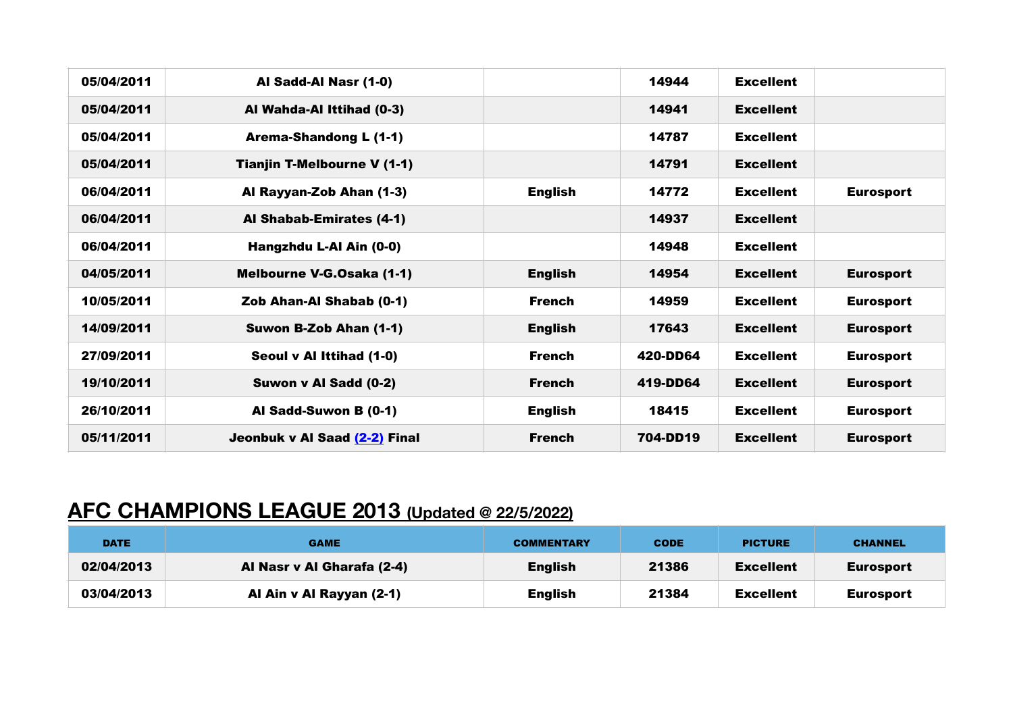| 05/04/2011 | Al Sadd-Al Nasr (1-0)              |                | 14944    | <b>Excellent</b> |                  |
|------------|------------------------------------|----------------|----------|------------------|------------------|
| 05/04/2011 | Al Wahda-Al Ittihad (0-3)          |                | 14941    | <b>Excellent</b> |                  |
| 05/04/2011 | <b>Arema-Shandong L (1-1)</b>      |                | 14787    | <b>Excellent</b> |                  |
| 05/04/2011 | <b>Tianjin T-Melbourne V (1-1)</b> |                | 14791    | <b>Excellent</b> |                  |
| 06/04/2011 | Al Rayyan-Zob Ahan (1-3)           | <b>English</b> | 14772    | <b>Excellent</b> | <b>Eurosport</b> |
| 06/04/2011 | Al Shabab-Emirates (4-1)           |                | 14937    | <b>Excellent</b> |                  |
| 06/04/2011 | Hangzhdu L-Al Ain (0-0)            |                | 14948    | <b>Excellent</b> |                  |
| 04/05/2011 | Melbourne V-G.Osaka (1-1)          | <b>English</b> | 14954    | <b>Excellent</b> | <b>Eurosport</b> |
| 10/05/2011 | Zob Ahan-Al Shabab (0-1)           | <b>French</b>  | 14959    | <b>Excellent</b> | <b>Eurosport</b> |
| 14/09/2011 | Suwon B-Zob Ahan (1-1)             | <b>English</b> | 17643    | <b>Excellent</b> | <b>Eurosport</b> |
| 27/09/2011 | Seoul v Al Ittihad (1-0)           | <b>French</b>  | 420-DD64 | <b>Excellent</b> | <b>Eurosport</b> |
| 19/10/2011 | Suwon v Al Sadd (0-2)              | <b>French</b>  | 419-DD64 | <b>Excellent</b> | <b>Eurosport</b> |
| 26/10/2011 | Al Sadd-Suwon B (0-1)              | <b>English</b> | 18415    | <b>Excellent</b> | <b>Eurosport</b> |
| 05/11/2011 | Jeonbuk v Al Saad (2-2) Final      | <b>French</b>  | 704-DD19 | <b>Excellent</b> | <b>Eurosport</b> |

## **AFC CHAMPIONS LEAGUE 2013 (Updated @ 22/5/2022)**

| <b>DATE</b> | <b>GAME</b>                | <b>COMMENTARY</b> | <b>CODE</b> | <b>PICTURE</b>   | <b>CHANNEL</b>   |
|-------------|----------------------------|-------------------|-------------|------------------|------------------|
| 02/04/2013  | Al Nasr v Al Gharafa (2-4) | <b>English</b>    | 21386       | <b>Excellent</b> | Eurosport        |
| 03/04/2013  | Al Ain v Al Rayyan (2-1)   | <b>English</b>    | 21384       | <b>Excellent</b> | <b>Eurosport</b> |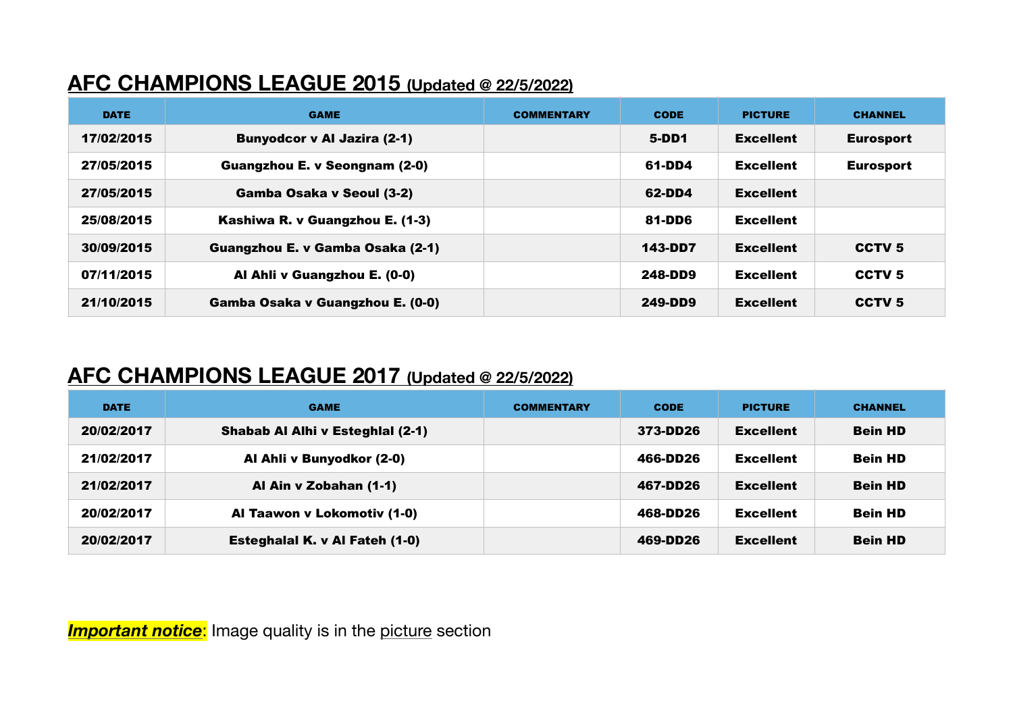### **AFC CHAMPIONS LEAGUE 2015 (Updated @ 22/5/2022)**

| <b>DATE</b> | <b>GAME</b>                          | <b>COMMENTARY</b> | <b>CODE</b> | <b>PICTURE</b>   | <b>CHANNEL</b>    |
|-------------|--------------------------------------|-------------------|-------------|------------------|-------------------|
| 17/02/2015  | <b>Bunyodcor v Al Jazira (2-1)</b>   |                   | 5-DD1       | <b>Excellent</b> | <b>Eurosport</b>  |
| 27/05/2015  | <b>Guangzhou E. v Seongnam (2-0)</b> |                   | 61-DD4      | <b>Excellent</b> | <b>Eurosport</b>  |
| 27/05/2015  | Gamba Osaka v Seoul (3-2)            |                   | 62-DD4      | <b>Excellent</b> |                   |
| 25/08/2015  | Kashiwa R. v Guangzhou E. (1-3)      |                   | 81-DD6      | <b>Excellent</b> |                   |
| 30/09/2015  | Guangzhou E. v Gamba Osaka (2-1)     |                   | 143-DD7     | <b>Excellent</b> | CCTV <sub>5</sub> |
| 07/11/2015  | Al Ahli v Guangzhou E. (0-0)         |                   | 248-DD9     | <b>Excellent</b> | CCTV <sub>5</sub> |
| 21/10/2015  | Gamba Osaka v Guangzhou E. (0-0)     |                   | 249-DD9     | <b>Excellent</b> | CCTV <sub>5</sub> |

### **AFC CHAMPIONS LEAGUE 2017 (Updated @ 22/5/2022)**

| <b>DATE</b> | <b>GAME</b>                      | <b>COMMENTARY</b> | <b>CODE</b> | <b>PICTURE</b>   | <b>CHANNEL</b> |
|-------------|----------------------------------|-------------------|-------------|------------------|----------------|
| 20/02/2017  | Shabab Al Alhi v Esteghlal (2-1) |                   | 373-DD26    | <b>Excellent</b> | <b>Bein HD</b> |
| 21/02/2017  | Al Ahli v Bunyodkor (2-0)        |                   | 466-DD26    | <b>Excellent</b> | <b>Bein HD</b> |
| 21/02/2017  | Al Ain v Zobahan (1-1)           |                   | 467-DD26    | <b>Excellent</b> | <b>Bein HD</b> |
| 20/02/2017  | Al Taawon v Lokomotiv (1-0)      |                   | 468-DD26    | <b>Excellent</b> | <b>Bein HD</b> |
| 20/02/2017  | Esteghalal K. v Al Fateh (1-0)   |                   | 469-DD26    | <b>Excellent</b> | <b>Bein HD</b> |

**Important notice:** Image quality is in the picture section